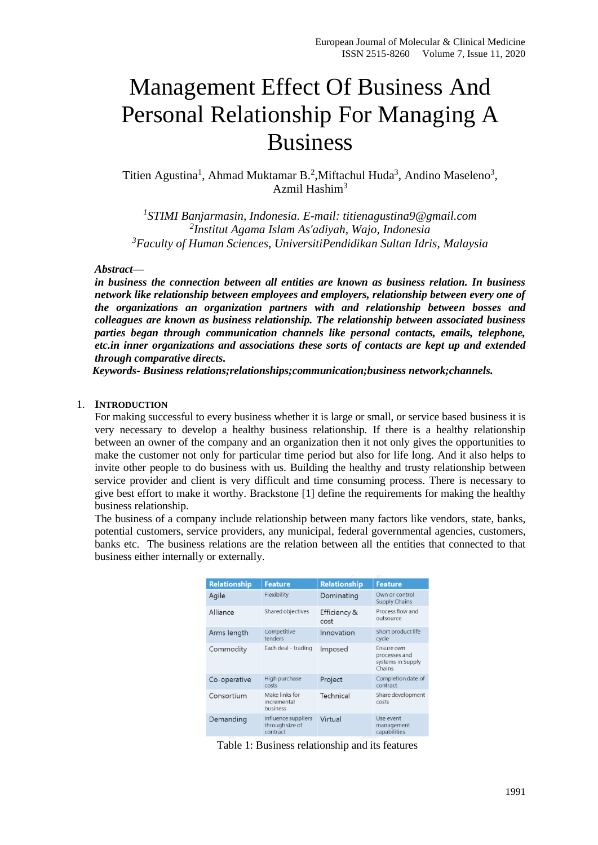# Management Effect Of Business And Personal Relationship For Managing A Business

Titien Agustina<sup>1</sup>, Ahmad Muktamar B.<sup>2</sup>, Miftachul Huda<sup>3</sup>, Andino Maseleno<sup>3</sup>, Azmil Hashim $3$ 

*1 STIMI Banjarmasin, Indonesia. E-mail: titienagustina9@gmail.com 2 Institut Agama Islam As'adiyah, Wajo, Indonesia <sup>3</sup>Faculty of Human Sciences, UniversitiPendidikan Sultan Idris, Malaysia*

## *Abstract—*

*in business the connection between all entities are known as business relation. In business network like relationship between employees and employers, relationship between every one of the organizations an organization partners with and relationship between bosses and colleagues are known as business relationship. The relationship between associated business parties began through communication channels like personal contacts, emails, telephone, etc.in inner organizations and associations these sorts of contacts are kept up and extended through comparative directs.*

 *Keywords- Business relations;relationships;communication;business network;channels.*

## 1. **INTRODUCTION**

For making successful to every business whether it is large or small, or service based business it is very necessary to develop a healthy business relationship. If there is a healthy relationship between an owner of the company and an organization then it not only gives the opportunities to make the customer not only for particular time period but also for life long. And it also helps to invite other people to do business with us. Building the healthy and trusty relationship between service provider and client is very difficult and time consuming process. There is necessary to give best effort to make it worthy. Brackstone [1] define the requirements for making the healthy business relationship.

The business of a company include relationship between many factors like vendors, state, banks, potential customers, service providers, any municipal, federal governmental agencies, customers, banks etc. The business relations are the relation between all the entities that connected to that business either internally or externally.

| <b>Relationship</b> | <b>Feature</b>                                     | <b>Relationship</b>  | <b>Feature</b>                                             |
|---------------------|----------------------------------------------------|----------------------|------------------------------------------------------------|
| Agile               | Flexibility                                        | Dominating           | Own or control<br>Supply Chains                            |
| Alliance            | Shared objectives                                  | Efficiency &<br>cost | Process flow and<br>outsource                              |
| Arms length         | Competitive<br>tenders                             | Innovation           | Short product life<br>cycle                                |
| Commodity           | Each deal - trading                                | Imposed              | Ensure own<br>processes and<br>systems in Supply<br>Chains |
| Co-operative        | High purchase<br>costs                             | Project              | Completion date of<br>contract                             |
| Consortium          | Make links for<br>incremental<br>business          | Technical            | Share development<br>costs                                 |
| Demanding           | Influence suppliers<br>through size of<br>contract | Virtual              | Use event<br>management<br>capabilities                    |

Table 1: Business relationship and its features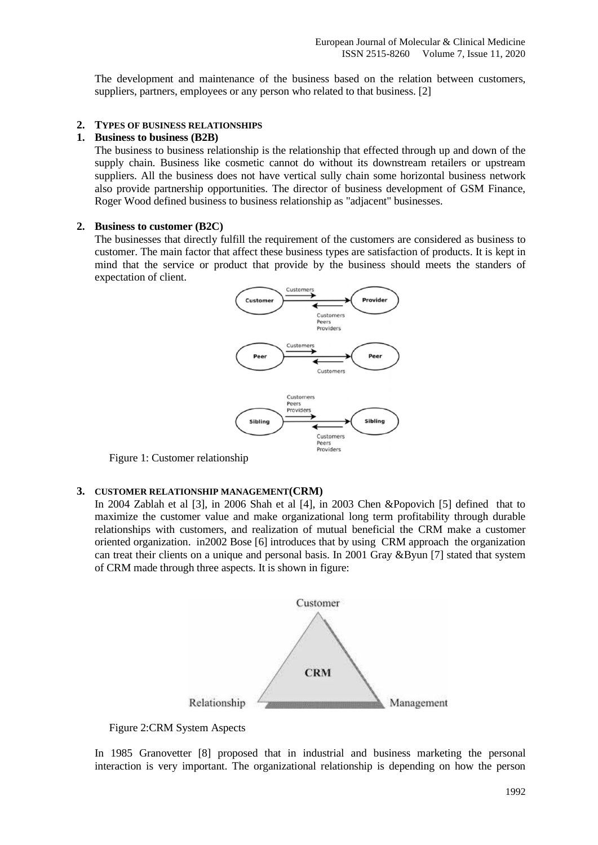The development and maintenance of the business based on the relation between customers, suppliers, partners, employees or any person who related to that business. [2]

### **2. TYPES OF BUSINESS RELATIONSHIPS**

#### **1. Business to business (B2B)**

The business to business relationship is the relationship that effected through up and down of the supply chain. Business like cosmetic cannot do without its downstream retailers or upstream suppliers. All the business does not have vertical sully chain some horizontal business network also provide partnership opportunities. The director of business development of GSM Finance, Roger Wood defined business to business relationship as "adjacent" businesses.

#### **2. Business to customer (B2C)**

The businesses that directly fulfill the requirement of the customers are considered as business to customer. The main factor that affect these business types are satisfaction of products. It is kept in mind that the service or product that provide by the business should meets the standers of expectation of client.



Figure 1: Customer relationship

#### **3. CUSTOMER RELATIONSHIP MANAGEMENT(CRM)**

In 2004 Zablah et al [3], in 2006 Shah et al [4], in 2003 Chen &Popovich [5] defined that to maximize the customer value and make organizational long term profitability through durable relationships with customers, and realization of mutual beneficial the CRM make a customer oriented organization. in2002 Bose [6] introduces that by using CRM approach the organization can treat their clients on a unique and personal basis. In 2001 Gray &Byun [7] stated that system of CRM made through three aspects. It is shown in figure:



Figure 2:CRM System Aspects

In 1985 Granovetter [8] proposed that in industrial and business marketing the personal interaction is very important. The organizational relationship is depending on how the person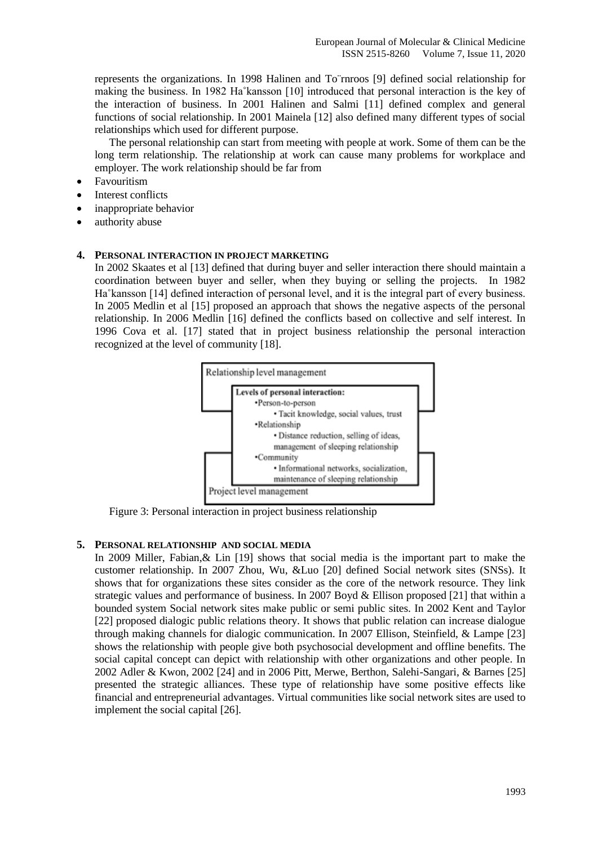represents the organizations. In 1998 Halinen and To¨rnroos [9] defined social relationship for making the business. In 1982 Ha˚kansson [10] introduced that personal interaction is the key of the interaction of business. In 2001 Halinen and Salmi [11] defined complex and general functions of social relationship. In 2001 Mainela [12] also defined many different types of social relationships which used for different purpose.

The personal relationship can start from meeting with people at work. Some of them can be the long term relationship. The relationship at work can cause many problems for workplace and employer. The work relationship should be far from

- Favouritism
- Interest conflicts
- inappropriate behavior
- authority abuse

## **4. PERSONAL INTERACTION IN PROJECT MARKETING**

In 2002 Skaates et al [13] defined that during buyer and seller interaction there should maintain a coordination between buyer and seller, when they buying or selling the projects. In 1982 Ha˚kansson [14] defined interaction of personal level, and it is the integral part of every business. In 2005 Medlin et al [15] proposed an approach that shows the negative aspects of the personal relationship. In 2006 Medlin [16] defined the conflicts based on collective and self interest. In 1996 Cova et al. [17] stated that in project business relationship the personal interaction recognized at the level of community [18].



Figure 3: Personal interaction in project business relationship

## **5. PERSONAL RELATIONSHIP AND SOCIAL MEDIA**

In 2009 Miller, Fabian,& Lin [19] shows that social media is the important part to make the customer relationship. In 2007 Zhou, Wu, &Luo [20] defined Social network sites (SNSs). It shows that for organizations these sites consider as the core of the network resource. They link strategic values and performance of business. In 2007 Boyd & Ellison proposed [21] that within a bounded system Social network sites make public or semi public sites. In 2002 Kent and Taylor [22] proposed dialogic public relations theory. It shows that public relation can increase dialogue through making channels for dialogic communication. In 2007 Ellison, Steinfield, & Lampe [23] shows the relationship with people give both psychosocial development and offline benefits. The social capital concept can depict with relationship with other organizations and other people. In 2002 Adler & Kwon, 2002 [24] and in 2006 Pitt, Merwe, Berthon, Salehi-Sangari, & Barnes [25] presented the strategic alliances. These type of relationship have some positive effects like financial and entrepreneurial advantages. Virtual communities like social network sites are used to implement the social capital [26].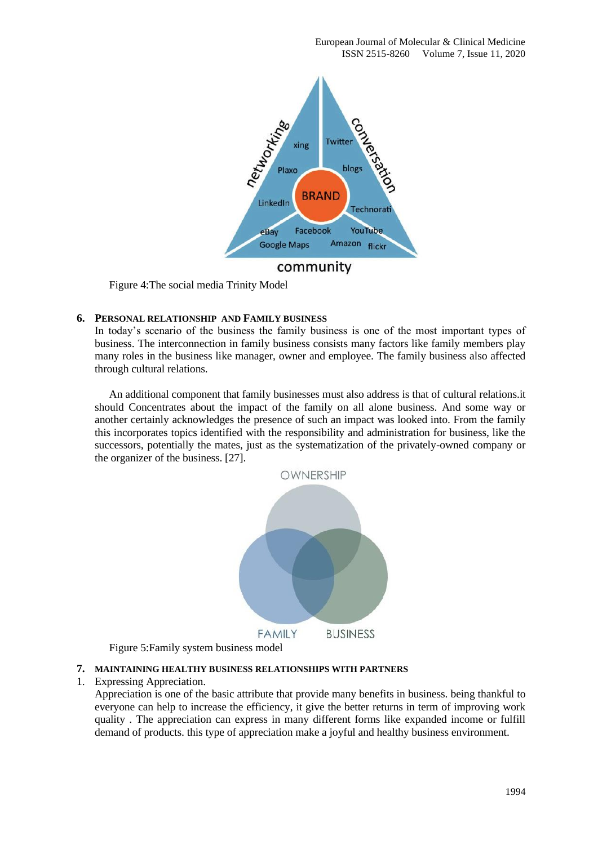

Figure 4:The social media Trinity Model

## **6. PERSONAL RELATIONSHIP AND FAMILY BUSINESS**

In today's scenario of the business the family business is one of the most important types of business. The interconnection in family business consists many factors like family members play many roles in the business like manager, owner and employee. The family business also affected through cultural relations.

An additional component that family businesses must also address is that of cultural relations.it should Concentrates about the impact of the family on all alone business. And some way or another certainly acknowledges the presence of such an impact was looked into. From the family this incorporates topics identified with the responsibility and administration for business, like the successors, potentially the mates, just as the systematization of the privately-owned company or the organizer of the business. [27].



Figure 5:Family system business model

#### **7. MAINTAINING HEALTHY BUSINESS RELATIONSHIPS WITH PARTNERS**

#### 1. Expressing Appreciation.

Appreciation is one of the basic attribute that provide many benefits in business. being thankful to everyone can help to increase the efficiency, it give the better returns in term of improving work quality . The appreciation can express in many different forms like expanded income or fulfill demand of products. this type of appreciation make a joyful and healthy business environment.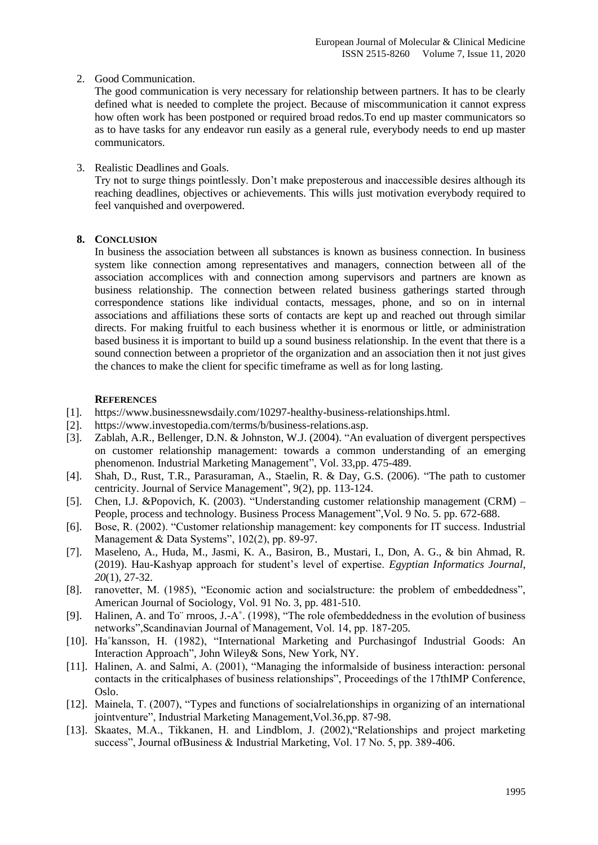# 2. Good Communication.

The good communication is very necessary for relationship between partners. It has to be clearly defined what is needed to complete the project. Because of miscommunication it cannot express how often work has been postponed or required broad redos.To end up master communicators so as to have tasks for any endeavor run easily as a general rule, everybody needs to end up master communicators.

# 3. Realistic Deadlines and Goals.

Try not to surge things pointlessly. Don't make preposterous and inaccessible desires although its reaching deadlines, objectives or achievements. This wills just motivation everybody required to feel vanquished and overpowered.

# **8. CONCLUSION**

In business the association between all substances is known as business connection. In business system like connection among representatives and managers, connection between all of the association accomplices with and connection among supervisors and partners are known as business relationship. The connection between related business gatherings started through correspondence stations like individual contacts, messages, phone, and so on in internal associations and affiliations these sorts of contacts are kept up and reached out through similar directs. For making fruitful to each business whether it is enormous or little, or administration based business it is important to build up a sound business relationship. In the event that there is a sound connection between a proprietor of the organization and an association then it not just gives the chances to make the client for specific timeframe as well as for long lasting.

# **REFERENCES**

- [1]. https://www.businessnewsdaily.com/10297-healthy-business-relationships.html.
- [2]. https://www.investopedia.com/terms/b/business-relations.asp.
- [3]. Zablah, A.R., Bellenger, D.N. & Johnston, W.J. (2004). "An evaluation of divergent perspectives on customer relationship management: towards a common understanding of an emerging phenomenon. Industrial Marketing Management", Vol. 33,pp. 475-489.
- [4]. Shah, D., Rust, T.R., Parasuraman, A., Staelin, R. & Day, G.S. (2006). "The path to customer centricity. Journal of Service Management", 9(2), pp. 113-124.
- [5]. Chen, I.J. &Popovich, K. (2003). "Understanding customer relationship management (CRM) People, process and technology. Business Process Management",Vol. 9 No. 5. pp. 672-688.
- [6]. Bose, R. (2002). "Customer relationship management: key components for IT success. Industrial Management & Data Systems", 102(2), pp. 89-97.
- [7]. Maseleno, A., Huda, M., Jasmi, K. A., Basiron, B., Mustari, I., Don, A. G., & bin Ahmad, R. (2019). Hau-Kashyap approach for student's level of expertise. *Egyptian Informatics Journal*, *20*(1), 27-32.
- [8]. ranovetter, M. (1985), "Economic action and socialstructure: the problem of embeddedness", American Journal of Sociology, Vol. 91 No. 3, pp. 481-510.
- [9]. Halinen, A. and To¨ rnroos, J.-A˚. (1998), "The role ofembeddedness in the evolution of business networks",Scandinavian Journal of Management, Vol. 14, pp. 187-205.
- [10]. Ha˚kansson, H. (1982), "International Marketing and Purchasingof Industrial Goods: An Interaction Approach", John Wiley& Sons, New York, NY.
- [11]. Halinen, A. and Salmi, A. (2001), "Managing the informalside of business interaction: personal contacts in the criticalphases of business relationships", Proceedings of the 17thIMP Conference, Oslo.
- [12]. Mainela, T. (2007), "Types and functions of socialrelationships in organizing of an international jointventure", Industrial Marketing Management,Vol.36,pp. 87-98.
- [13]. Skaates, M.A., Tikkanen, H. and Lindblom, J. (2002), Relationships and project marketing success", Journal ofBusiness & Industrial Marketing, Vol. 17 No. 5, pp. 389-406.